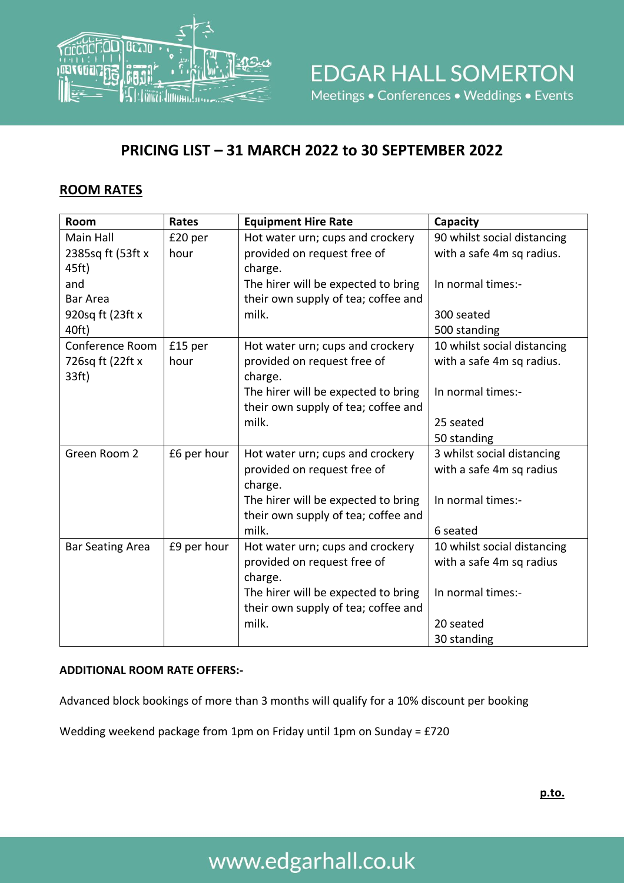

### **PRICING LIST – 31 MARCH 2022 to 30 SEPTEMBER 2022**

#### **ROOM RATES**

| <b>Room</b>             | Rates       | <b>Equipment Hire Rate</b>          | Capacity                    |
|-------------------------|-------------|-------------------------------------|-----------------------------|
| Main Hall               | £20 per     | Hot water urn; cups and crockery    | 90 whilst social distancing |
| 2385sq ft (53ft x       | hour        | provided on request free of         | with a safe 4m sq radius.   |
| 45ft)                   |             | charge.                             |                             |
| and                     |             | The hirer will be expected to bring | In normal times:-           |
| <b>Bar Area</b>         |             | their own supply of tea; coffee and |                             |
| 920sq ft (23ft x)       |             | milk.                               | 300 seated                  |
| 40ft)                   |             |                                     | 500 standing                |
| Conference Room         | £15 per     | Hot water urn; cups and crockery    | 10 whilst social distancing |
| 726sq ft (22ft x        | hour        | provided on request free of         | with a safe 4m sq radius.   |
| 33ft)                   |             | charge.                             |                             |
|                         |             | The hirer will be expected to bring | In normal times:-           |
|                         |             | their own supply of tea; coffee and |                             |
|                         |             | milk.                               | 25 seated                   |
|                         |             |                                     | 50 standing                 |
| Green Room 2            | £6 per hour | Hot water urn; cups and crockery    | 3 whilst social distancing  |
|                         |             | provided on request free of         | with a safe 4m sq radius    |
|                         |             | charge.                             |                             |
|                         |             | The hirer will be expected to bring | In normal times:-           |
|                         |             | their own supply of tea; coffee and |                             |
|                         |             | milk.                               | 6 seated                    |
| <b>Bar Seating Area</b> | £9 per hour | Hot water urn; cups and crockery    | 10 whilst social distancing |
|                         |             | provided on request free of         | with a safe 4m sq radius    |
|                         |             | charge.                             |                             |
|                         |             | The hirer will be expected to bring | In normal times:-           |
|                         |             | their own supply of tea; coffee and |                             |
|                         |             | milk.                               | 20 seated                   |
|                         |             |                                     | 30 standing                 |

#### **ADDITIONAL ROOM RATE OFFERS:-**

Advanced block bookings of more than 3 months will qualify for a 10% discount per booking

Wedding weekend package from 1pm on Friday until 1pm on Sunday = £720

# www.edgarhall.co.uk